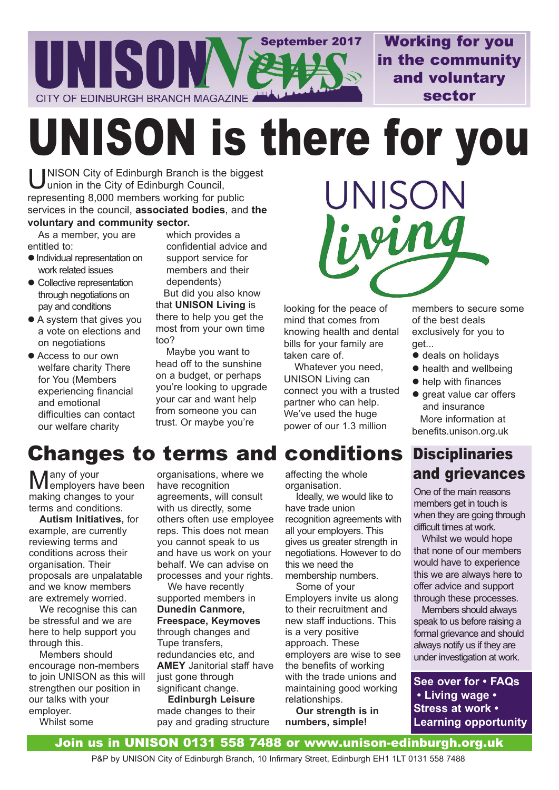

Working for you in the community and voluntary sector

UNISON is there for you

UNISON City of Edinburgh Branch is the biggest<br>Union in the City of Edinburgh Council, union in the City of Edinburgh Council, representing 8,000 members working for public services in the council, **associated bodies**, and **the voluntary and community sector.**

As a member, you are entitled to:

- $\bullet$  Individual representation on work related issues
- Collective representation through negotiations on pay and conditions
- A system that gives you a vote on elections and on negotiations
- Access to our own welfare charity There for You (Members experiencing financial and emotional difficulties can contact our welfare charity

which provides a confidential advice and support service for members and their dependents) But did you also know

that **UNISON Living** is there to help you get the most from your own time too?

Maybe you want to head off to the sunshine on a budget, or perhaps you're looking to upgrade your car and want help from someone you can trust. Or maybe you're



looking for the peace of mind that comes from knowing health and dental bills for your family are taken care of.

Whatever you need, UNISON Living can connect you with a trusted partner who can help. We've used the huge power of our 1.3 million

members to secure some of the best deals exclusively for you to get...

- $\bullet$  deals on holidays
- $\bullet$  health and wellbeing
- $\bullet$  help with finances
- great value car offers and insurance More information at benefits.unison.org.uk

## conditions Disciplinaries and grievances

One of the main reasons members get in touch is when they are going through difficult times at work.

Whilst we would hope that none of our members would have to experience this we are always here to offer advice and support through these processes.

Members should always speak to us before raising a formal grievance and should always notify us if they are under investigation at work.

**See over for • FAQs • Living wage • Stress at work • Learning opportunity**

# **Changes to terms and**

Many of your employers have been making changes to your terms and conditions.

**Autism Initiatives,** for example, are currently reviewing terms and conditions across their organisation. Their proposals are unpalatable and we know members are extremely worried.

We recognise this can be stressful and we are here to help support you through this.

Members should encourage non-members to join UNISON as this will strengthen our position in our talks with your employer. Whilst some

organisations, where we have recognition agreements, will consult with us directly, some others often use employee reps. This does not mean you cannot speak to us and have us work on your behalf. We can advise on processes and your rights.

We have recently supported members in **Dunedin Canmore, Freespace, Keymoves** through changes and Tupe transfers, redundancies etc, and **AMEY** Janitorial staff have just gone through significant change.

**Edinburgh Leisure** made changes to their pay and grading structure affecting the whole organisation.

Ideally, we would like to have trade union recognition agreements with all your employers. This gives us greater strength in negotiations. However to do this we need the membership numbers.

Some of your Employers invite us along to their recruitment and new staff inductions. This is a very positive approach. These employers are wise to see the benefits of working with the trade unions and maintaining good working relationships.

**Our strength is in numbers, simple!** 

#### Join us in UNISON 0131 558 7488 or www.unison-edinburgh.org.uk

P&P by UNISON City of Edinburgh Branch, 10 Infirmary Street, Edinburgh EH1 1LT 0131 558 7488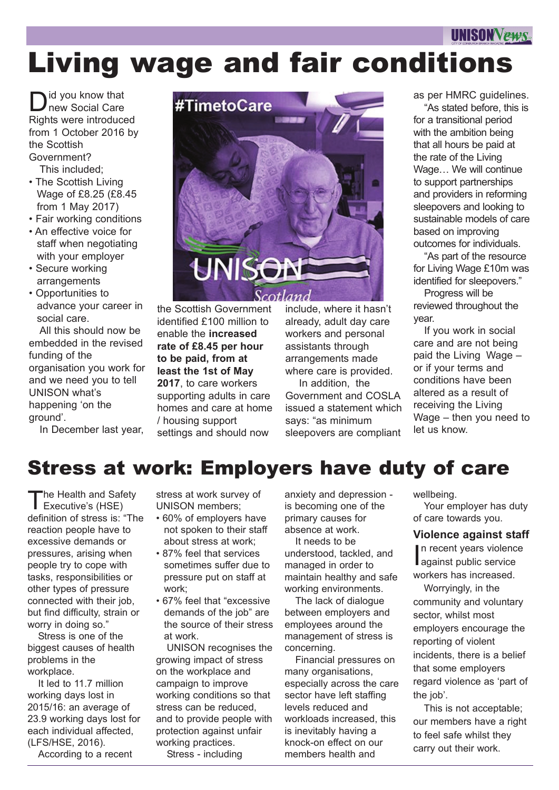# **UNISON VEHAS** Living wage and fair conditions

D id you know that new Social Care Rights were introduced from 1 October 2016 by the Scottish Government?

This included;

- The Scottish Living Wage of £8.25 (£8.45 from 1 May 2017)
- Fair working conditions
- An effective voice for staff when negotiating with your employer
- Secure working arrangements
- Opportunities to advance your career in social care.

All this should now be embedded in the revised funding of the organisation you work for and we need you to tell UNISON what's happening 'on the ground'.

In December last year,



the Scottish Government identified £100 million to enable the **increased rate of £8.45 per hour to be paid, from at least the 1st of May 2017**, to care workers supporting adults in care homes and care at home / housing support settings and should now

include, where it hasn't already, adult day care workers and personal assistants through arrangements made where care is provided.

In addition, the Government and COSLA issued a statement which says: "as minimum sleepovers are compliant

as per HMRC guidelines. "As stated before, this is

for a transitional period with the ambition being that all hours be paid at the rate of the Living Wage… We will continue to support partnerships and providers in reforming sleepovers and looking to sustainable models of care based on improving outcomes for individuals.

"As part of the resource for Living Wage £10m was identified for sleepovers."

Progress will be reviewed throughout the year.

If you work in social care and are not being paid the Living Wage – or if your terms and conditions have been altered as a result of receiving the Living Wage – then you need to let us know.

## Stress at work: Employers have duty of care

The Health and Saf<br>Executive's (HSE) he Health and Safety definition of stress is: "The reaction people have to excessive demands or pressures, arising when people try to cope with tasks, responsibilities or other types of pressure connected with their job, but find difficulty, strain or worry in doing so."

Stress is one of the biggest causes of health problems in the workplace.

It led to 11.7 million working days lost in 2015/16: an average of 23.9 working days lost for each individual affected, (LFS/HSE, 2016).

According to a recent

stress at work survey of UNISON members;

- 60% of employers have not spoken to their staff about stress at work;
- 87% feel that services sometimes suffer due to pressure put on staff at work;
- 67% feel that "excessive demands of the job" are the source of their stress at work.

UNISON recognises the growing impact of stress on the workplace and campaign to improve working conditions so that stress can be reduced, and to provide people with protection against unfair working practices.

Stress - including

anxiety and depression is becoming one of the primary causes for absence at work.

It needs to be understood, tackled, and managed in order to maintain healthy and safe working environments.

The lack of dialogue between employers and employees around the management of stress is concerning.

Financial pressures on many organisations, especially across the care sector have left staffing levels reduced and workloads increased, this is inevitably having a knock-on effect on our members health and

wellbeing. Your employer has duty of care towards you.

#### **Violence against staff**

In recent years violend<br>against public service n recent years violence workers has increased.

Worryingly, in the community and voluntary sector, whilst most employers encourage the reporting of violent incidents, there is a belief that some employers regard violence as 'part of the job'.

This is not acceptable; our members have a right to feel safe whilst they carry out their work.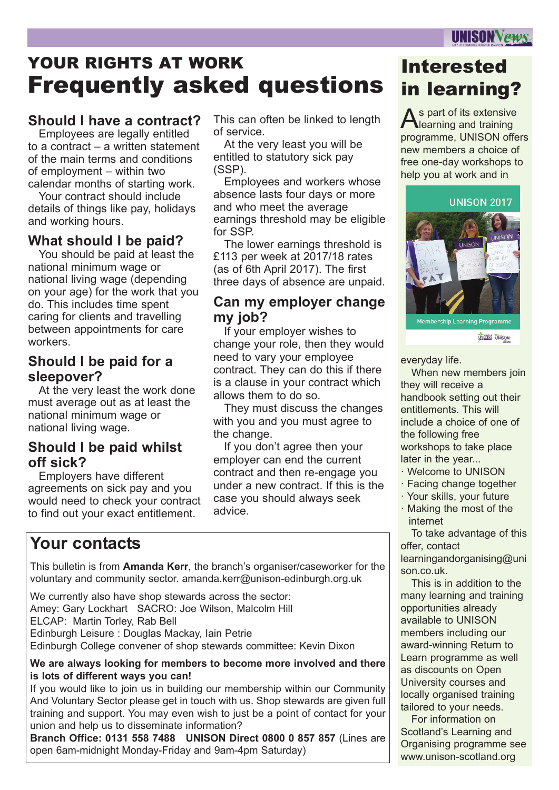# YOUR RIGHTS AT WORK Frequently asked questions

### **Should I have a contract?**

Employees are legally entitled to a contract – a written statement of the main terms and conditions of employment – within two calendar months of starting work.

Your contract should include details of things like pay, holidays and working hours.

### **What should I be paid?**

You should be paid at least the national minimum wage or national living wage (depending on your age) for the work that you do. This includes time spent caring for clients and travelling between appointments for care workers.

#### **Should I be paid for a sleepover?**

At the very least the work done must average out as at least the national minimum wage or national living wage.

### **Should I be paid whilst off sick?**

Employers have different agreements on sick pay and you would need to check your contract to find out your exact entitlement.

#### This can often be linked to length of service.

At the very least you will be entitled to statutory sick pay (SSP).

Employees and workers whose absence lasts four days or more and who meet the average earnings threshold may be eligible for SSP.

The lower earnings threshold is £113 per week at 2017/18 rates (as of 6th April 2017). The first three days of absence are unpaid.

#### **Can my employer change my job?**

If your employer wishes to change your role, then they would need to vary your employee contract. They can do this if there is a clause in your contract which allows them to do so.

They must discuss the changes with you and you must agree to the change.

If you don't agree then your employer can end the current contract and then re-engage you under a new contract. If this is the case you should always seek advice.

### **Your contacts**

This bulletin is from **Amanda Kerr**, the branch's organiser/caseworker for the voluntary and community sector. amanda.kerr@unison-edinburgh.org.uk

We currently also have shop stewards across the sector: Amey: Gary Lockhart SACRO: Joe Wilson, Malcolm Hill ELCAP: Martin Torley, Rab Bell Edinburgh Leisure : Douglas Mackay, Iain Petrie Edinburgh College convener of shop stewards committee: Kevin Dixon

#### **We are always looking for members to become more involved and there is lots of different ways you can!**

If you would like to join us in building our membership within our Community And Voluntary Sector please get in touch with us. Shop stewards are given full training and support. You may even wish to just be a point of contact for your union and help us to disseminate information?

**Branch Office: 0131 558 7488 UNISON Direct 0800 0 857 857** (Lines are open 6am-midnight Monday-Friday and 9am-4pm Saturday)

## Interested in learning?

As part of its extensive<br>Alearning and training learning and training programme, UNISON offers new members a choice of free one-day workshops to help you at work and in



**LETTRAS UNISON** 

everyday life.

When new members join they will receive a handbook setting out their entitlements. This will include a choice of one of the following free workshops to take place later in the year...

- · Welcome to UNISON
- · Facing change together
- · Your skills, your future
- · Making the most of the internet

To take advantage of this offer, contact

learningandorganising@uni son.co.uk.

This is in addition to the many learning and training opportunities already available to UNISON members including our award-winning Return to Learn programme as well as discounts on Open University courses and locally organised training tailored to your needs.

For information on Scotland's Learning and Organising programme see www.unison-scotland.org